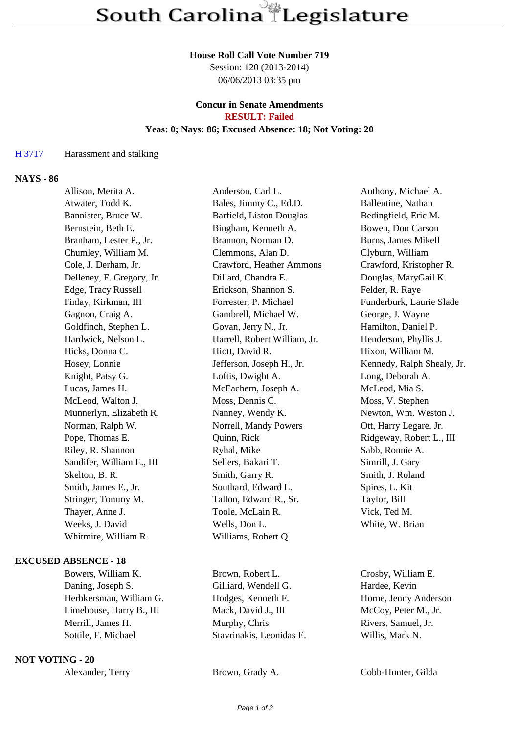#### **House Roll Call Vote Number 719**

Session: 120 (2013-2014) 06/06/2013 03:35 pm

#### **Concur in Senate Amendments RESULT: Failed**

# **Yeas: 0; Nays: 86; Excused Absence: 18; Not Voting: 20**

## H 3717 Harassment and stalking

### **NAYS - 86**

| Allison, Merita A.        | Anderson, Carl L.            | Anthony, Michael A.        |
|---------------------------|------------------------------|----------------------------|
| Atwater, Todd K.          | Bales, Jimmy C., Ed.D.       | Ballentine, Nathan         |
| Bannister, Bruce W.       | Barfield, Liston Douglas     | Bedingfield, Eric M.       |
| Bernstein, Beth E.        | Bingham, Kenneth A.          | Bowen, Don Carson          |
| Branham, Lester P., Jr.   | Brannon, Norman D.           | Burns, James Mikell        |
| Chumley, William M.       | Clemmons, Alan D.            | Clyburn, William           |
| Cole, J. Derham, Jr.      | Crawford, Heather Ammons     | Crawford, Kristopher R.    |
| Delleney, F. Gregory, Jr. | Dillard, Chandra E.          | Douglas, MaryGail K.       |
| Edge, Tracy Russell       | Erickson, Shannon S.         | Felder, R. Raye            |
| Finlay, Kirkman, III      | Forrester, P. Michael        | Funderburk, Laurie Slade   |
| Gagnon, Craig A.          | Gambrell, Michael W.         | George, J. Wayne           |
| Goldfinch, Stephen L.     | Govan, Jerry N., Jr.         | Hamilton, Daniel P.        |
| Hardwick, Nelson L.       | Harrell, Robert William, Jr. | Henderson, Phyllis J.      |
| Hicks, Donna C.           | Hiott, David R.              | Hixon, William M.          |
| Hosey, Lonnie             | Jefferson, Joseph H., Jr.    | Kennedy, Ralph Shealy, Jr. |
| Knight, Patsy G.          | Loftis, Dwight A.            | Long, Deborah A.           |
| Lucas, James H.           | McEachern, Joseph A.         | McLeod, Mia S.             |
| McLeod, Walton J.         | Moss, Dennis C.              | Moss, V. Stephen           |
| Munnerlyn, Elizabeth R.   | Nanney, Wendy K.             | Newton, Wm. Weston J.      |
| Norman, Ralph W.          | Norrell, Mandy Powers        | Ott, Harry Legare, Jr.     |
| Pope, Thomas E.           | Quinn, Rick                  | Ridgeway, Robert L., III   |
| Riley, R. Shannon         | Ryhal, Mike                  | Sabb, Ronnie A.            |
| Sandifer, William E., III | Sellers, Bakari T.           | Simrill, J. Gary           |
| Skelton, B. R.            | Smith, Garry R.              | Smith, J. Roland           |
| Smith, James E., Jr.      | Southard, Edward L.          | Spires, L. Kit             |
| Stringer, Tommy M.        | Tallon, Edward R., Sr.       | Taylor, Bill               |
| Thayer, Anne J.           | Toole, McLain R.             | Vick, Ted M.               |
| Weeks, J. David           | Wells, Don L.                | White, W. Brian            |
| Whitmire, William R.      | Williams, Robert Q.          |                            |
|                           |                              |                            |

## **EXCUSED ABSENCE - 18**

Bowers, William K. Brown, Robert L. Crosby, William E. Daning, Joseph S. Gilliard, Wendell G. Hardee, Kevin Herbkersman, William G. Hodges, Kenneth F. Horne, Jenny Anderson Limehouse, Harry B., III Mack, David J., III McCoy, Peter M., Jr. Merrill, James H. Murphy, Chris Rivers, Samuel, Jr. Sottile, F. Michael Stavrinakis, Leonidas E. Willis, Mark N.

## **NOT VOTING - 20**

Alexander, Terry Brown, Grady A. Cobb-Hunter, Gilda